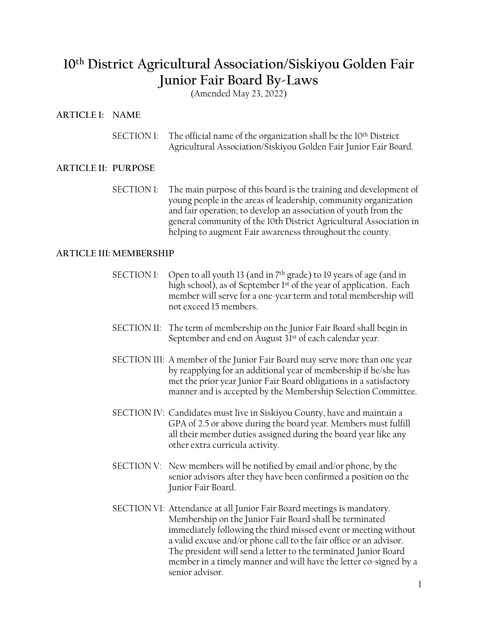# **10th District Agricultural Association/Siskiyou Golden Fair Junior Fair Board By-Laws**

(Amended May 23, 2022)

## **ARTICLE I: NAME**

SECTION I: The official name of the organization shall be the 10<sup>th</sup> District Agricultural Association/Siskiyou Golden Fair Junior Fair Board.

## **ARTICLE II: PURPOSE**

SECTION I: The main purpose of this board is the training and development of young people in the areas of leadership, community organization and fair operation; to develop an association of youth from the general community of the 10th District Agricultural Association in helping to augment Fair awareness throughout the county.

#### **ARTICLE III: MEMBERSHIP**

- SECTION I: Open to all youth 13 (and in 7<sup>th</sup> grade) to 19 years of age (and in high school), as of September 1<sup>st</sup> of the year of application. Each member will serve for a one-year term and total membership will not exceed 15 members.
- SECTION II: The term of membership on the Junior Fair Board shall begin in September and end on August 31st of each calendar year.
- SECTION III: A member of the Junior Fair Board may serve more than one year by reapplying for an additional year of membership if he/she has met the prior year Junior Fair Board obligations in a satisfactory manner and is accepted by the Membership Selection Committee.
- SECTION IV: Candidates must live in Siskiyou County, have and maintain a GPA of 2.5 or above during the board year. Members must fulfill all their member duties assigned during the board year like any other extra curricula activity.
- SECTION V: New members will be notified by email and/or phone, by the senior advisors after they have been confirmed a position on the Junior Fair Board.
- SECTION VI: Attendance at all Junior Fair Board meetings is mandatory. Membership on the Junior Fair Board shall be terminated immediately following the third missed event or meeting without a valid excuse and/or phone call to the fair office or an advisor. The president will send a letter to the terminated Junior Board member in a timely manner and will have the letter co-signed by a senior advisor.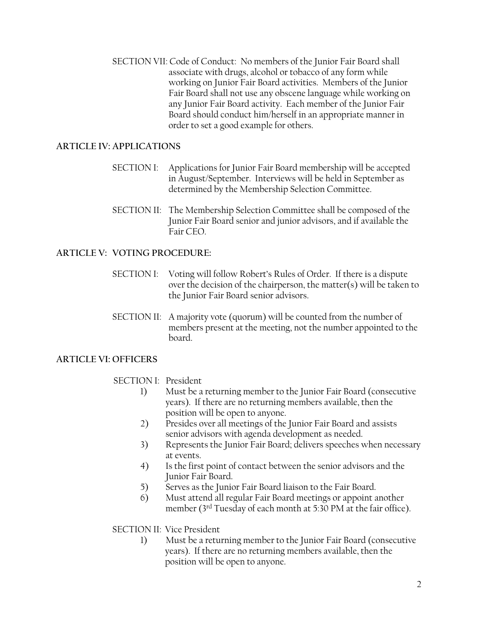SECTION VII: Code of Conduct: No members of the Junior Fair Board shall associate with drugs, alcohol or tobacco of any form while working on Junior Fair Board activities. Members of the Junior Fair Board shall not use any obscene language while working on any Junior Fair Board activity. Each member of the Junior Fair Board should conduct him/herself in an appropriate manner in order to set a good example for others.

## **ARTICLE IV: APPLICATIONS**

- SECTION I: Applications for Junior Fair Board membership will be accepted in August/September. Interviews will be held in September as determined by the Membership Selection Committee.
- SECTION II: The Membership Selection Committee shall be composed of the Junior Fair Board senior and junior advisors, and if available the Fair CEO.

# **ARTICLE V: VOTING PROCEDURE:**

- SECTION I: Voting will follow Robert's Rules of Order. If there is a dispute over the decision of the chairperson, the matter(s) will be taken to the Junior Fair Board senior advisors.
- SECTION II: A majority vote (quorum) will be counted from the number of members present at the meeting, not the number appointed to the board.

# **ARTICLE VI: OFFICERS**

## SECTION I: President

- 1) Must be a returning member to the Junior Fair Board (consecutive years). If there are no returning members available, then the position will be open to anyone.
- 2) Presides over all meetings of the Junior Fair Board and assists senior advisors with agenda development as needed.
- 3) Represents the Junior Fair Board; delivers speeches when necessary at events.
- 4) Is the first point of contact between the senior advisors and the Junior Fair Board.
- 5) Serves as the Junior Fair Board liaison to the Fair Board.
- 6) Must attend all regular Fair Board meetings or appoint another member (3rd Tuesday of each month at 5:30 PM at the fair office).

# SECTION II: Vice President

1) Must be a returning member to the Junior Fair Board (consecutive years). If there are no returning members available, then the position will be open to anyone.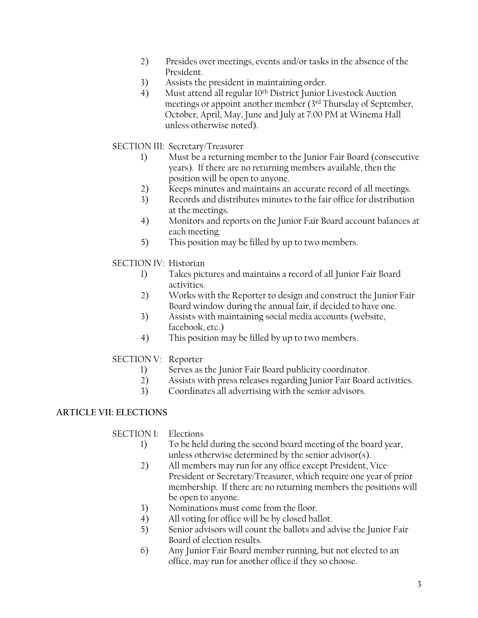- 2) Presides over meetings, events and/or tasks in the absence of the President.
- 3) Assists the president in maintaining order.
- 4) Must attend all regular 10th District Junior Livestock Auction meetings or appoint another member (3rd Thursday of September, October, April, May, June and July at 7:00 PM at Winema Hall unless otherwise noted).

# SECTION III: Secretary/Treasurer

- 1) Must be a returning member to the Junior Fair Board (consecutive years). If there are no returning members available, then the position will be open to anyone.
- 2) Keeps minutes and maintains an accurate record of all meetings.
- 3) Records and distributes minutes to the fair office for distribution at the meetings.
- 4) Monitors and reports on the Junior Fair Board account balances at each meeting.
- 5) This position may be filled by up to two members.

# SECTION IV: Historian

- 1) Takes pictures and maintains a record of all Junior Fair Board activities.
- 2) Works with the Reporter to design and construct the Junior Fair Board window during the annual fair, if decided to have one.
- 3) Assists with maintaining social media accounts (website, facebook, etc.)
- 4) This position may be filled by up to two members.

# SECTION V: Reporter

- 1) Serves as the Junior Fair Board publicity coordinator.
- 2) Assists with press releases regarding Junior Fair Board activities.
- 3) Coordinates all advertising with the senior advisors.

# **ARTICLE VII: ELECTIONS**

# SECTION I: Elections

- 1) To be held during the second board meeting of the board year, unless otherwise determined by the senior advisor(s).
- 2) All members may run for any office except President, Vice-President or Secretary/Treasurer, which require one year of prior membership. If there are no returning members the positions will be open to anyone.
- 3) Nominations must come from the floor.
- 4) All voting for office will be by closed ballot.
- 5) Senior advisors will count the ballots and advise the Junior Fair Board of election results.
- 6) Any Junior Fair Board member running, but not elected to an office, may run for another office if they so choose.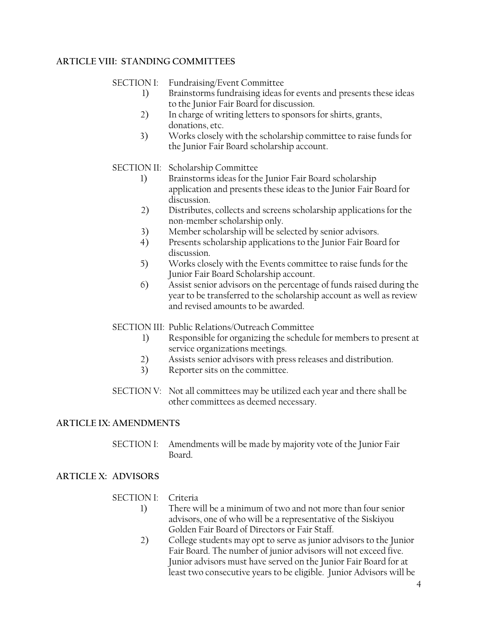# **ARTICLE VIII: STANDING COMMITTEES**

SECTION I: Fundraising/Event Committee

- 1) Brainstorms fundraising ideas for events and presents these ideas to the Junior Fair Board for discussion.
- 2) In charge of writing letters to sponsors for shirts, grants, donations, etc.
- 3) Works closely with the scholarship committee to raise funds for the Junior Fair Board scholarship account.

## SECTION II: Scholarship Committee

- 1) Brainstorms ideas for the Junior Fair Board scholarship application and presents these ideas to the Junior Fair Board for discussion.
- 2) Distributes, collects and screens scholarship applications for the non-member scholarship only.
- 3) Member scholarship will be selected by senior advisors.
- 4) Presents scholarship applications to the Junior Fair Board for discussion.
- 5) Works closely with the Events committee to raise funds for the Junior Fair Board Scholarship account.
- 6) Assist senior advisors on the percentage of funds raised during the year to be transferred to the scholarship account as well as review and revised amounts to be awarded.
- SECTION III: Public Relations/Outreach Committee
	- 1) Responsible for organizing the schedule for members to present at service organizations meetings.
	- 2) Assists senior advisors with press releases and distribution.
	- 3) Reporter sits on the committee.
- SECTION V: Not all committees may be utilized each year and there shall be other committees as deemed necessary.

## **ARTICLE IX: AMENDMENTS**

SECTION I: Amendments will be made by majority vote of the Junior Fair Board.

# **ARTICLE X: ADVISORS**

## SECTION I: Criteria

- 1) There will be a minimum of two and not more than four senior advisors, one of who will be a representative of the Siskiyou Golden Fair Board of Directors or Fair Staff.
- 2) College students may opt to serve as junior advisors to the Junior Fair Board. The number of junior advisors will not exceed five. Junior advisors must have served on the Junior Fair Board for at least two consecutive years to be eligible. Junior Advisors will be